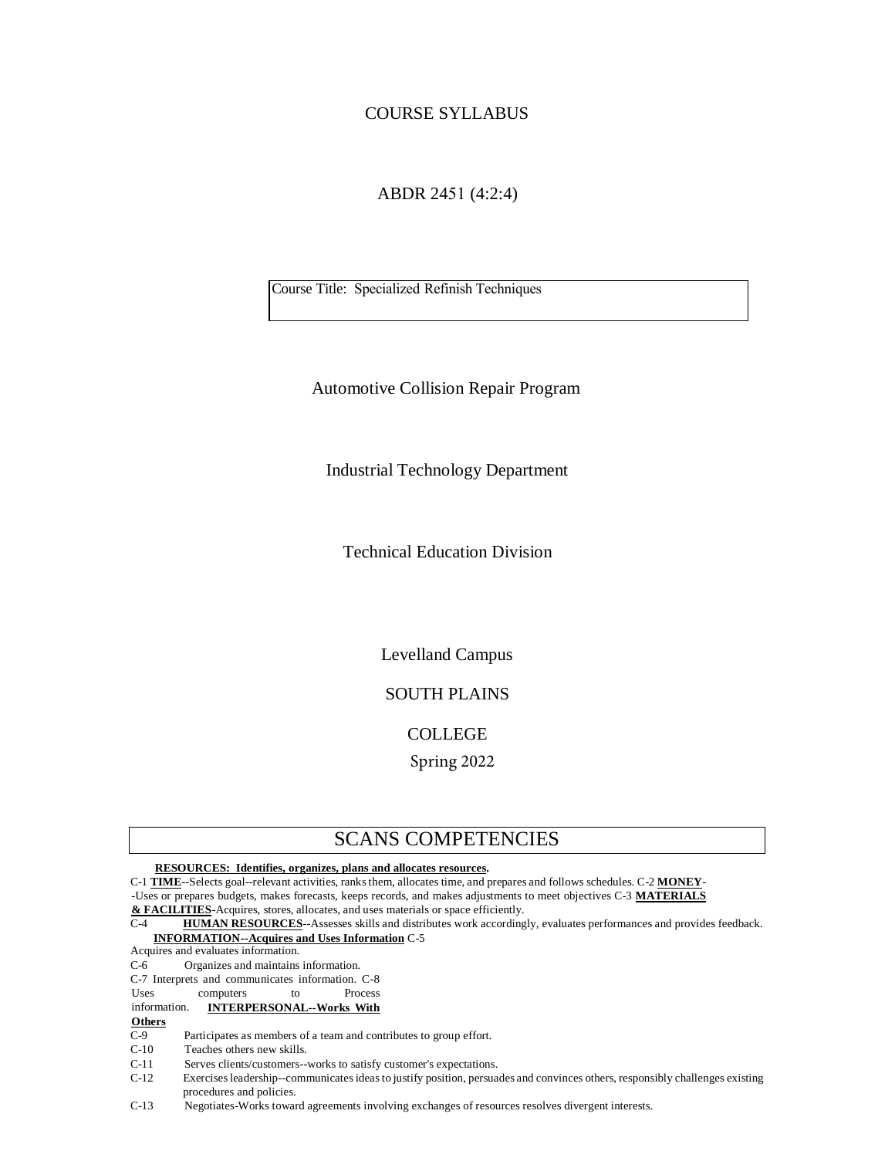# COURSE SYLLABUS

# ABDR 2451 (4:2:4)

Course Title: Specialized Refinish Techniques

Automotive Collision Repair Program

Industrial Technology Department

Technical Education Division

Levelland Campus

# SOUTH PLAINS

## COLLEGE

Spring 2022

# SCANS COMPETENCIES

**RESOURCES: Identifies, organizes, plans and allocates resources.** 

C-1 **TIME**--Selects goal--relevant activities, ranks them, allocates time, and prepares and follows schedules. C-2 **MONEY**- -Uses or prepares budgets, makes forecasts, keeps records, and makes adjustments to meet objectives C-3 **MATERIALS & FACILITIES**-Acquires, stores, allocates, and uses materials or space efficiently.

C-4 **HUMAN RESOURCES**--Assesses skills and distributes work accordingly, evaluates performances and provides feedback. **INFORMATION--Acquires and Uses Information** C-5

Acquires and evaluates information.

C-6 Organizes and maintains information.

C-7 Interprets and communicates information. C-8

Uses computers to

information. **INTERPERSONAL--Works With**

#### **Others**

C-9 Participates as members of a team and contributes to group effort.

C-10 Teaches others new skills.

C-11 Serves clients/customers--works to satisfy customer's expectations.

C-12 Exercises leadership--communicates ideas to justify position, persuades and convinces others, responsibly challenges existing procedures and policies.

C-13 Negotiates-Works toward agreements involving exchanges of resources resolves divergent interests.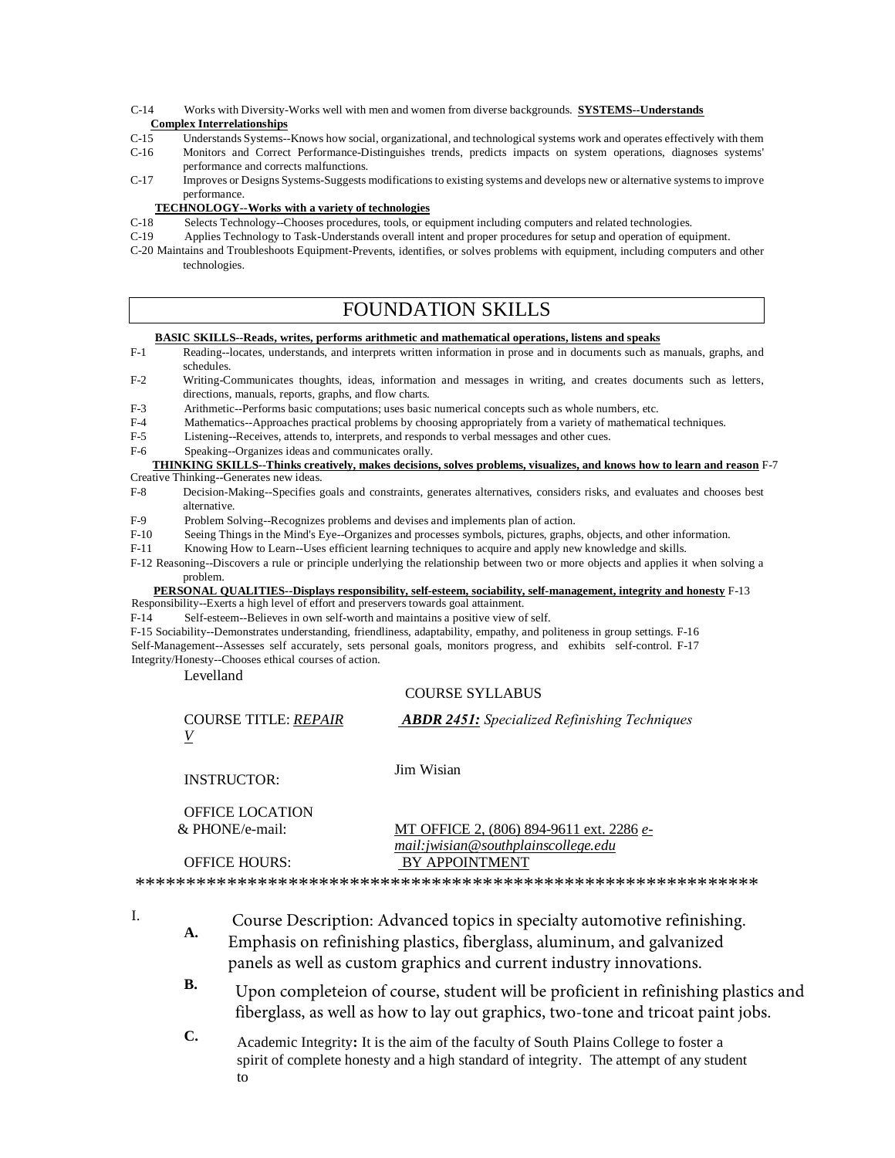C-14 Works with Diversity-Works well with men and women from diverse backgrounds. **SYSTEMS--Understands** 

### **Complex Interrelationships**

- C-15 Understands Systems--Knows how social, organizational, and technological systems work and operates effectively with them<br>C-16 Monitors and Correct Performance-Distinguishes trends predicts impacts on system operations Monitors and Correct Performance-Distinguishes trends, predicts impacts on system operations, diagnoses systems' performance and corrects malfunctions.
- C-17 Improves or Designs Systems-Suggests modifications to existing systems and develops new or alternative systems to improve performance.

#### **TECHNOLOGY--Works with a variety of technologies**

- C-18 Selects Technology--Chooses procedures, tools, or equipment including computers and related technologies.
- C-19 Applies Technology to Task-Understands overall intent and proper procedures for setup and operation of equipment.
- C-20 Maintains and Troubleshoots Equipment-Prevents, identifies, or solves problems with equipment, including computers and other technologies.

# FOUNDATION SKILLS

#### **BASIC SKILLS--Reads, writes, performs arithmetic and mathematical operations, listens and speaks**

- F-1 Reading--locates, understands, and interprets written information in prose and in documents such as manuals, graphs, and schedules.
- F-2 Writing-Communicates thoughts, ideas, information and messages in writing, and creates documents such as letters, directions, manuals, reports, graphs, and flow charts.
- F-3 Arithmetic--Performs basic computations; uses basic numerical concepts such as whole numbers, etc.
- F-4 Mathematics--Approaches practical problems by choosing appropriately from a variety of mathematical techniques.
- F-5 Listening--Receives, attends to, interprets, and responds to verbal messages and other cues.
- F-6 Speaking--Organizes ideas and communicates orally.

#### **THINKING SKILLS--Thinks creatively, makes decisions, solves problems, visualizes, and knows how to learn and reason** F-7 Creative Thinking--Generates new ideas.

- F-8 Decision-Making--Specifies goals and constraints, generates alternatives, considers risks, and evaluates and chooses best alternative.
- F-9 Problem Solving--Recognizes problems and devises and implements plan of action.
- F-10 Seeing Things in the Mind's Eye--Organizes and processes symbols, pictures, graphs, objects, and other information.
- F-11 Knowing How to Learn--Uses efficient learning techniques to acquire and apply new knowledge and skills.

F-12 Reasoning--Discovers a rule or principle underlying the relationship between two or more objects and applies it when solving a problem.

#### **PERSONAL QUALITIES--Displays responsibility, self-esteem, sociability, self-management, integrity and honesty** F-13 Responsibility--Exerts a high level of effort and preservers towards goal attainment.

F-14 Self-esteem--Believes in own self-worth and maintains a positive view of self.

F-15 Sociability--Demonstrates understanding, friendliness, adaptability, empathy, and politeness in group settings. F-16 Self-Management--Assesses self accurately, sets personal goals, monitors progress, and exhibits self-control. F-17 Integrity/Honesty--Chooses ethical courses of action.

Levelland

# COURSE SYLLABUS

| <b>COURSE TITLE: REPAIR</b> | <b>ABDR 2451:</b> Specialized Refinishing Techniques |
|-----------------------------|------------------------------------------------------|
| INSTRUCTOR:                 | Jim Wisian                                           |
| <b>OFFICE LOCATION</b>      |                                                      |
| & PHONE/e-mail:             | <u>MT OFFICE 2, (806) 894-9611 ext. 2286 e-</u>      |
|                             | mail: jwisian@southplainscollege.edu                 |
| <b>OFFICE HOURS:</b>        | <b>BY APPOINTMENT</b>                                |

\*\*\*\*\*\*\*\*\*\*\*\*\*\*\*\*\*\*\*\*\*\*\*\*\*\*\*\*\*\*\*\*\*\*\*\*\*\*\*\*\*\*\*\*\*\*\*\*\*\*\*\*\*\*\*\*\*\*\*\*\*

I.

- **A.** Course Description: Advanced topics in specialty automotive refinishing. Emphasis on refinishing plastics, fiberglass, aluminum, and galvanized panels as well as custom graphics and current industry innovations.
- **B.** Upon completeion of course, student will be proficient in refinishing plastics and fiberglass, as well as how to lay out graphics, two-tone and tricoat paint jobs.
- **C.** Academic Integrity**:** It is the aim of the faculty of South Plains College to foster a spirit of complete honesty and a high standard of integrity. The attempt of any student to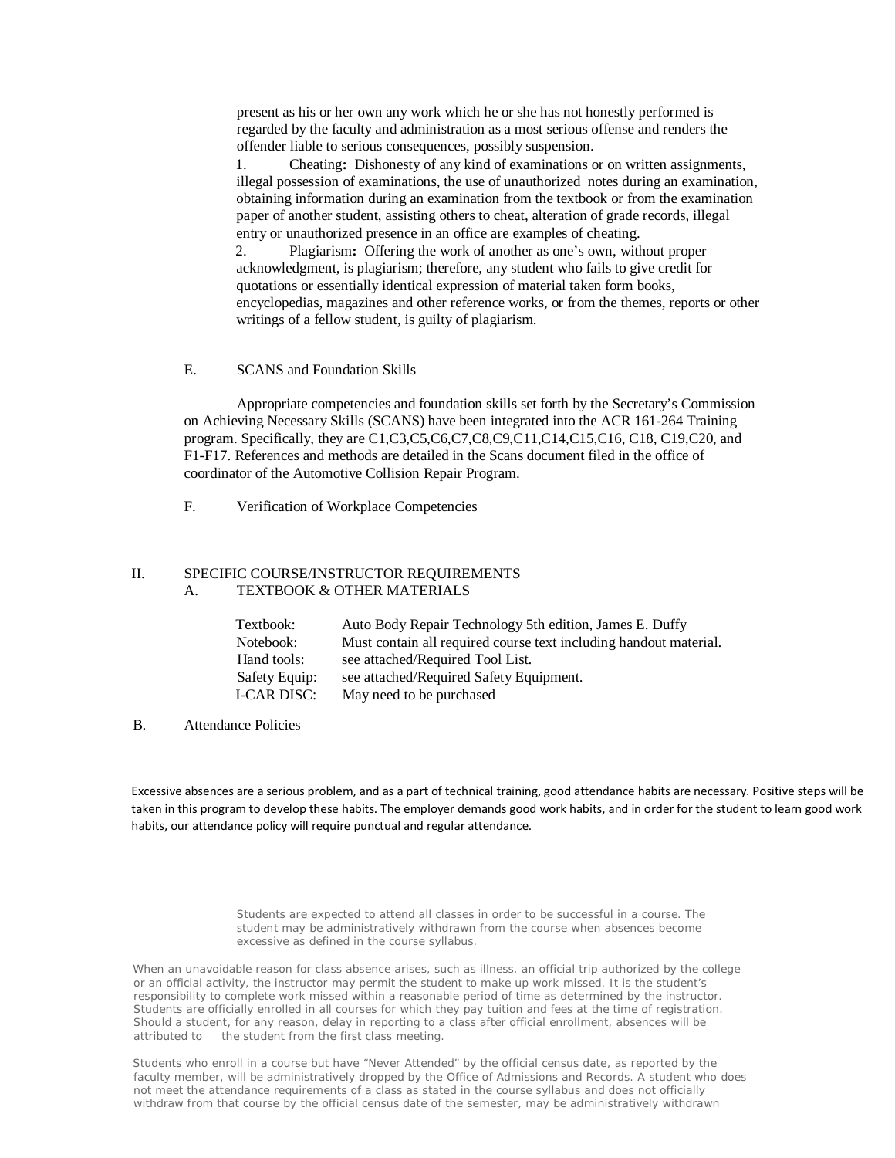present as his or her own any work which he or she has not honestly performed is regarded by the faculty and administration as a most serious offense and renders the offender liable to serious consequences, possibly suspension.

1. Cheating**:** Dishonesty of any kind of examinations or on written assignments, illegal possession of examinations, the use of unauthorized notes during an examination, obtaining information during an examination from the textbook or from the examination paper of another student, assisting others to cheat, alteration of grade records, illegal entry or unauthorized presence in an office are examples of cheating.

2. Plagiarism**:** Offering the work of another as one's own, without proper acknowledgment, is plagiarism; therefore, any student who fails to give credit for quotations or essentially identical expression of material taken form books, encyclopedias, magazines and other reference works, or from the themes, reports or other writings of a fellow student, is guilty of plagiarism.

### E. SCANS and Foundation Skills

Appropriate competencies and foundation skills set forth by the Secretary's Commission on Achieving Necessary Skills (SCANS) have been integrated into the ACR 161-264 Training program. Specifically, they are C1,C3,C5,C6,C7,C8,C9,C11,C14,C15,C16, C18, C19,C20, and F1-F17. References and methods are detailed in the Scans document filed in the office of coordinator of the Automotive Collision Repair Program.

F. Verification of Workplace Competencies

### II. SPECIFIC COURSE/INSTRUCTOR REQUIREMENTS A. TEXTBOOK & OTHER MATERIALS

| Textbook:     | Auto Body Repair Technology 5th edition, James E. Duffy           |
|---------------|-------------------------------------------------------------------|
| Notebook:     | Must contain all required course text including handout material. |
| Hand tools:   | see attached/Required Tool List.                                  |
| Safety Equip: | see attached/Required Safety Equipment.                           |
| I-CAR DISC:   | May need to be purchased                                          |

B. Attendance Policies

Excessive absences are a serious problem, and as a part of technical training, good attendance habits are necessary. Positive steps will be taken in this program to develop these habits. The employer demands good work habits, and in order for the student to learn good work habits, our attendance policy will require punctual and regular attendance.

> Students are expected to attend all classes in order to be successful in a course. The student may be administratively withdrawn from the course when absences become excessive as defined in the course syllabus.

When an unavoidable reason for class absence arises, such as illness, an official trip authorized by the college or an official activity, the instructor may permit the student to make up work missed. It is the student's responsibility to complete work missed within a reasonable period of time as determined by the instructor. Students are officially enrolled in all courses for which they pay tuition and fees at the time of registration. Should a student, for any reason, delay in reporting to a class after official enrollment, absences will be attributed to the student from the first class meeting.

Students who enroll in a course but have "Never Attended" by the official census date, as reported by the faculty member, will be administratively dropped by the Office of Admissions and Records. A student who does not meet the attendance requirements of a class as stated in the course syllabus and does not officially withdraw from that course by the official census date of the semester, may be administratively withdrawn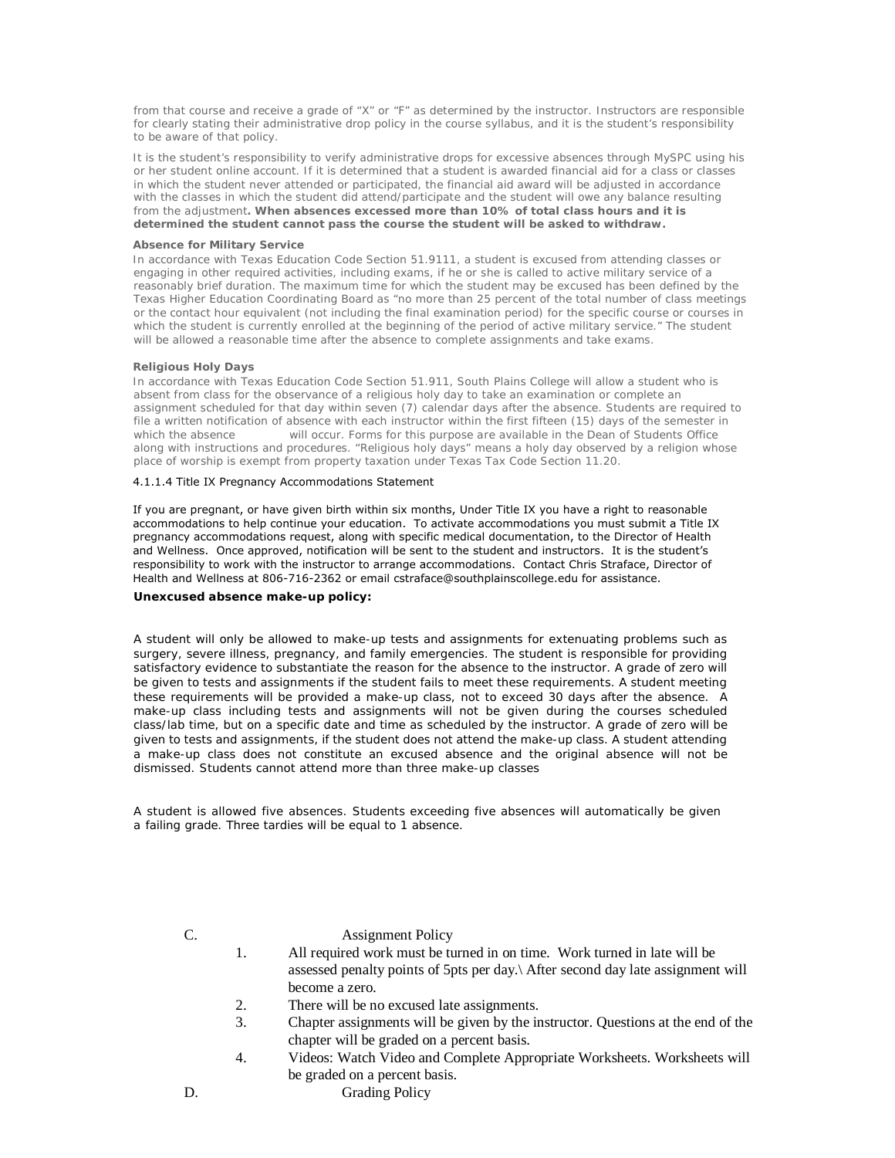from that course and receive a grade of "X" or "F" as determined by the instructor. Instructors are responsible for clearly stating their administrative drop policy in the course syllabus, and it is the student's responsibility to be aware of that policy.

It is the student's responsibility to verify administrative drops for excessive absences through MySPC using his or her student online account. If it is determined that a student is awarded financial aid for a class or classes in which the student never attended or participated, the financial aid award will be adjusted in accordance with the classes in which the student did attend/participate and the student will owe any balance resulting from the adjustment**. When absences excessed more than 10% of total class hours and it is determined the student cannot pass the course the student will be asked to withdraw.**

#### **Absence for Military Service**

In accordance with Texas Education Code Section 51.9111, a student is excused from attending classes or engaging in other required activities, including exams, if he or she is called to active military service of a reasonably brief duration. The maximum time for which the student may be excused has been defined by the Texas Higher Education Coordinating Board as "no more than 25 percent of the total number of class meetings or the contact hour equivalent (not including the final examination period) for the specific course or courses in which the student is currently enrolled at the beginning of the period of active military service." The student will be allowed a reasonable time after the absence to complete assignments and take exams.

#### **Religious Holy Days**

In accordance with Texas Education Code Section 51.911, South Plains College will allow a student who is absent from class for the observance of a religious holy day to take an examination or complete an assignment scheduled for that day within seven (7) calendar days after the absence. Students are required to file a written notification of absence with each instructor within the first fifteen (15) days of the semester in<br>which the absence will occur. Forms for this purpose are available in the Dean of Students Office will occur. Forms for this purpose are available in the Dean of Students Office along with instructions and procedures. "Religious holy days" means a holy day observed by a religion whose place of worship is exempt from property taxation under Texas Tax Code Section 11.20.

#### 4.1.1.4 Title IX Pregnancy Accommodations Statement

If you are pregnant, or have given birth within six months, Under Title IX you have a right to reasonable accommodations to help continue your education. To activate accommodations you must submit a Title IX pregnancy accommodations request, along with specific medical documentation, to the Director of Health and Wellness. Once approved, notification will be sent to the student and instructors. It is the student's responsibility to work with the instructor to arrange accommodations. Contact Chris Straface, Director of Health and Wellness at 806-716-2362 or email cstraface@southplainscollege.edu for assistance.

#### **Unexcused absence make-up policy:**

A student will only be allowed to make-up tests and assignments for extenuating problems such as surgery, severe illness, pregnancy, and family emergencies. The student is responsible for providing satisfactory evidence to substantiate the reason for the absence to the instructor. A grade of zero will be given to tests and assignments if the student fails to meet these requirements. A student meeting these requirements will be provided a make-up class, not to exceed 30 days after the absence. A make-up class including tests and assignments will not be given during the courses scheduled class/lab time, but on a specific date and time as scheduled by the instructor. A grade of zero will be given to tests and assignments, if the student does not attend the make-up class. A student attending a make-up class does not constitute an excused absence and the original absence will not be dismissed. Students cannot attend more than three make-up classes

A student is allowed five absences. Students exceeding five absences will automatically be given a failing grade. Three tardies will be equal to 1 absence.

C. Assignment Policy

- 1. All required work must be turned in on time. Work turned in late will be assessed penalty points of 5pts per day.\ After second day late assignment will become a zero.
- 2. There will be no excused late assignments.
- 3. Chapter assignments will be given by the instructor. Questions at the end of the chapter will be graded on a percent basis.
- 4. Videos: Watch Video and Complete Appropriate Worksheets. Worksheets will be graded on a percent basis.
- 
- D. Grading Policy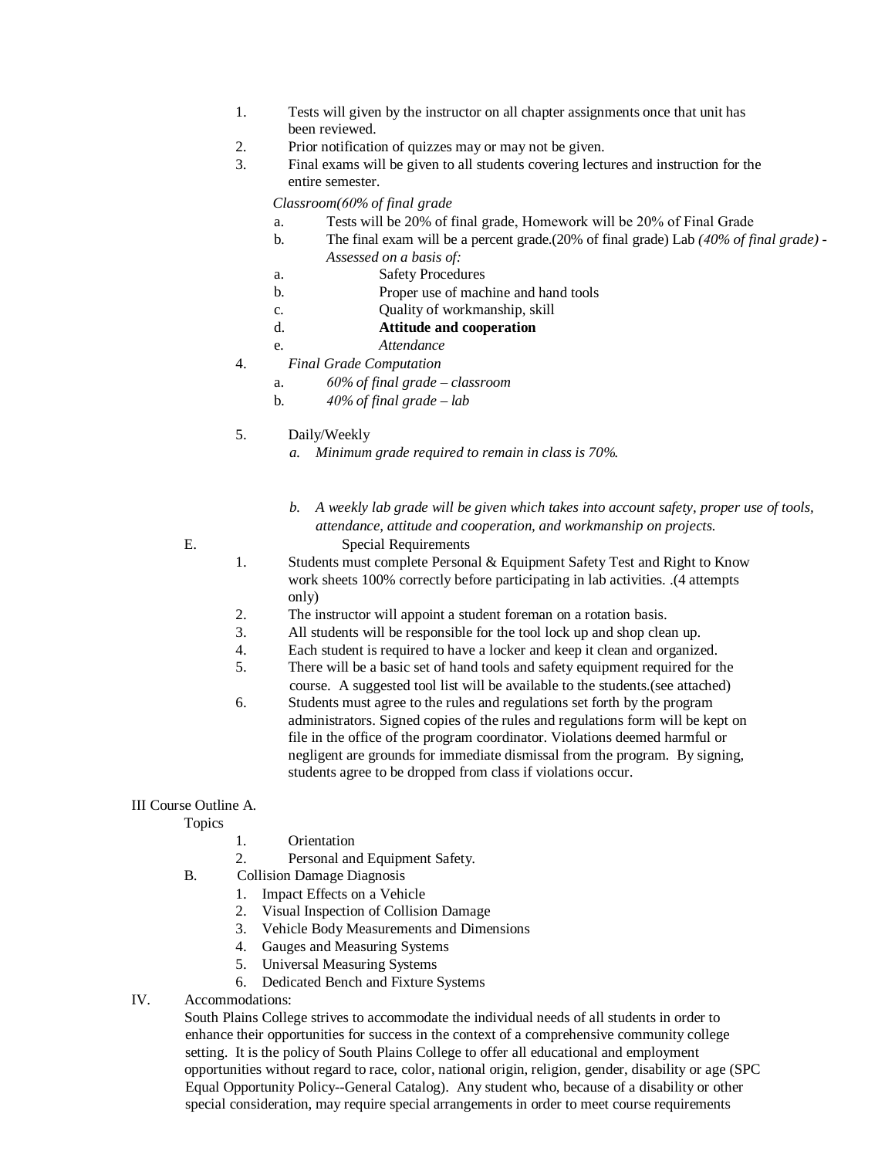- 1. Tests will given by the instructor on all chapter assignments once that unit has been reviewed.
- 2. Prior notification of quizzes may or may not be given.
- 3. Final exams will be given to all students covering lectures and instruction for the entire semester.

*Classroom(60% of final grade* 

- a. Tests will be 20% of final grade, Homework will be 20% of Final Grade
- b. The final exam will be a percent grade.(20% of final grade) Lab *(40% of final grade) - Assessed on a basis of:*
- a. Safety Procedures
- b. Proper use of machine and hand tools
- c. Quality of workmanship, skill
- d. **Attitude and cooperation**
	- e. *Attendance*
- 4. *Final Grade Computation*
	- a. *60% of final grade classroom*
	- b. *40% of final grade lab*
- 5. Daily/Weekly
	- *a. Minimum grade required to remain in class is 70%.*
- *b. A weekly lab grade will be given which takes into account safety, proper use of tools, attendance, attitude and cooperation, and workmanship on projects.* E. Special Requirements

- 
- 1. Students must complete Personal & Equipment Safety Test and Right to Know work sheets 100% correctly before participating in lab activities. .(4 attempts only)
- 2. The instructor will appoint a student foreman on a rotation basis.
- 3. All students will be responsible for the tool lock up and shop clean up.
- 4. Each student is required to have a locker and keep it clean and organized.
- 5. There will be a basic set of hand tools and safety equipment required for the
- course. A suggested tool list will be available to the students.(see attached)
- 6. Students must agree to the rules and regulations set forth by the program administrators. Signed copies of the rules and regulations form will be kept on file in the office of the program coordinator. Violations deemed harmful or negligent are grounds for immediate dismissal from the program. By signing, students agree to be dropped from class if violations occur.

# III Course Outline A.

Topics

- 1. Orientation
- 2. Personal and Equipment Safety.
- B. Collision Damage Diagnosis
	- 1. Impact Effects on a Vehicle
	- 2. Visual Inspection of Collision Damage
	- 3. Vehicle Body Measurements and Dimensions
	- 4. Gauges and Measuring Systems
	- 5. Universal Measuring Systems
	- 6. Dedicated Bench and Fixture Systems
- IV. Accommodations:

South Plains College strives to accommodate the individual needs of all students in order to enhance their opportunities for success in the context of a comprehensive community college setting. It is the policy of South Plains College to offer all educational and employment opportunities without regard to race, color, national origin, religion, gender, disability or age (SPC Equal Opportunity Policy--General Catalog). Any student who, because of a disability or other special consideration, may require special arrangements in order to meet course requirements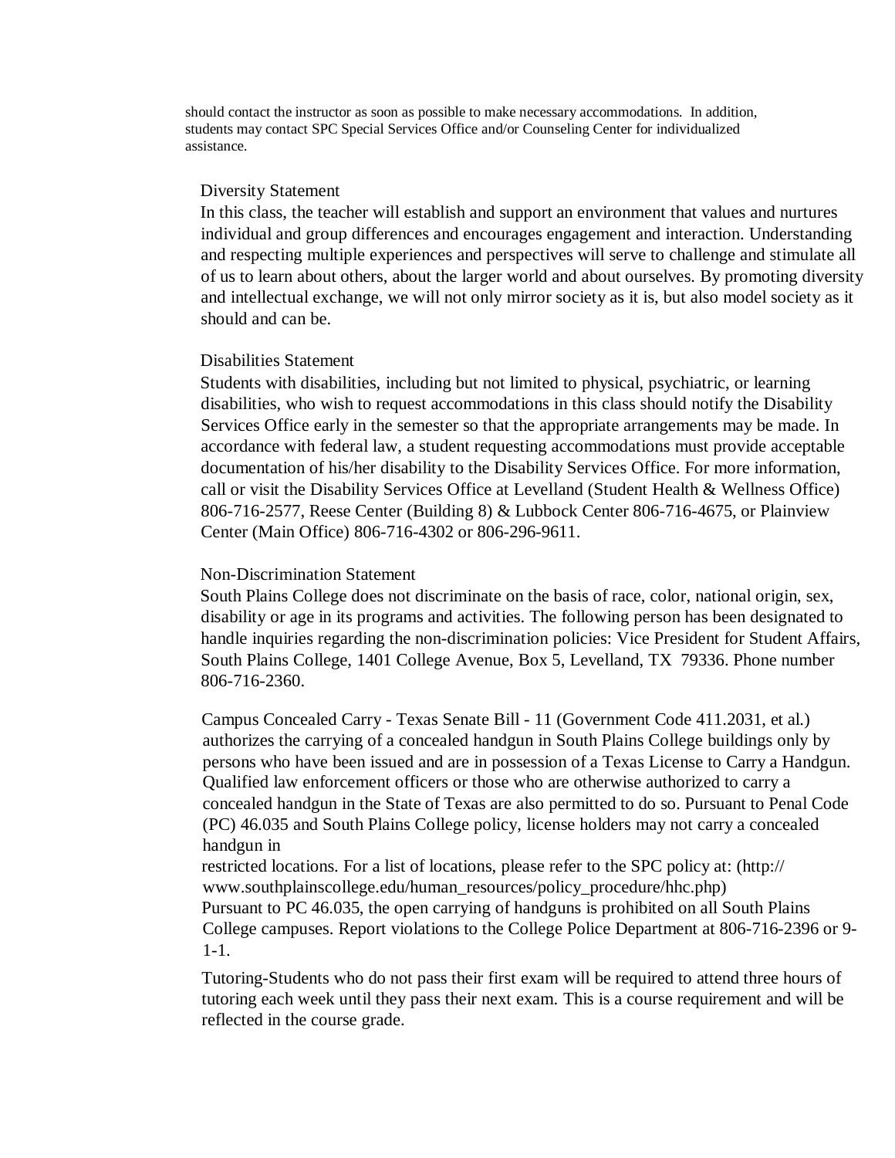should contact the instructor as soon as possible to make necessary accommodations. In addition, students may contact SPC Special Services Office and/or Counseling Center for individualized assistance.

# Diversity Statement

In this class, the teacher will establish and support an environment that values and nurtures individual and group differences and encourages engagement and interaction. Understanding and respecting multiple experiences and perspectives will serve to challenge and stimulate all of us to learn about others, about the larger world and about ourselves. By promoting diversity and intellectual exchange, we will not only mirror society as it is, but also model society as it should and can be.

# Disabilities Statement

Students with disabilities, including but not limited to physical, psychiatric, or learning disabilities, who wish to request accommodations in this class should notify the Disability Services Office early in the semester so that the appropriate arrangements may be made. In accordance with federal law, a student requesting accommodations must provide acceptable documentation of his/her disability to the Disability Services Office. For more information, call or visit the Disability Services Office at Levelland (Student Health & Wellness Office) 806-716-2577, Reese Center (Building 8) & Lubbock Center 806-716-4675, or Plainview Center (Main Office) 806-716-4302 or 806-296-9611.

# Non-Discrimination Statement

South Plains College does not discriminate on the basis of race, color, national origin, sex, disability or age in its programs and activities. The following person has been designated to handle inquiries regarding the non-discrimination policies: Vice President for Student Affairs, South Plains College, 1401 College Avenue, Box 5, Levelland, TX 79336. Phone number 806-716-2360.

Campus Concealed Carry - Texas Senate Bill - 11 (Government Code 411.2031, et al.) authorizes the carrying of a concealed handgun in South Plains College buildings only by persons who have been issued and are in possession of a Texas License to Carry a Handgun. Qualified law enforcement officers or those who are otherwise authorized to carry a concealed handgun in the State of Texas are also permitted to do so. Pursuant to Penal Code (PC) 46.035 and South Plains College policy, license holders may not carry a concealed handgun in

restricted locations. For a list of locations, please refer to the SPC policy at: (http:// www.southplainscollege.edu/human\_resources/policy\_procedure/hhc.php) Pursuant to PC 46.035, the open carrying of handguns is prohibited on all South Plains College campuses. Report violations to the College Police Department at 806-716-2396 or 9- 1-1.

Tutoring-Students who do not pass their first exam will be required to attend three hours of tutoring each week until they pass their next exam. This is a course requirement and will be reflected in the course grade.